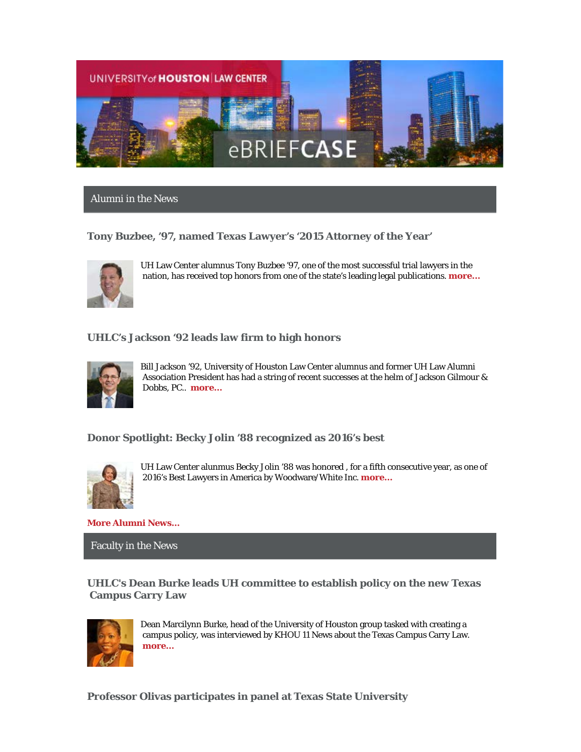

Alumni in the News

# **Tony Buzbee, '97, named Texas Lawyer's '2015 Attorney of the Year'**



UH Law Center alumnus Tony Buzbee '97, one of the most successful trial lawyers in the nation, has received top honors from one of the state's leading legal publications. **[more...](http://www.law.uh.edu/news/fall2015/1105Buzbee.asp)**

# **UHLC's Jackson '92 leads law firm to high honors**



Bill Jackson '92, University of Houston Law Center alumnus and former UH Law Alumni Association President has had a string of recent successes at the helm of Jackson Gilmour & Dobbs, PC.. **[more…](http://www.law.uh.edu/alumni/Featured-Alumni/2015-1109Jackson.asp)**

#### **Donor Spotlight: Becky Jolin '88 recognized as 2016's best**



UH Law Center alunmus Becky Jolin '88 was honored , for a fifth consecutive year, as one of 2016's Best Lawyers in America by Woodware/White Inc. **[more…](http://www.tklaw.com/124-tk-attorneys-honored-in-the-best-lawyers-in-america-2016/)**

**[More Alumni News...](http://www.law.uh.edu/alumni/alumni-in-the-news.asp)**

Faculty in the News

**UHLC's Dean Burke leads UH committee to establish policy on the new Texas Campus Carry Law**



Dean Marcilynn Burke, head of the University of Houston group tasked with creating a campus policy, was interviewed by KHOU 11 News about the Texas Campus Carry Law. **[more…](http://www.khou.com/story/news/local/2015/11/02/university-of-houston-working-on-campus-carry-rules/75076354/)**

**Professor Olivas participates in panel at Texas State University**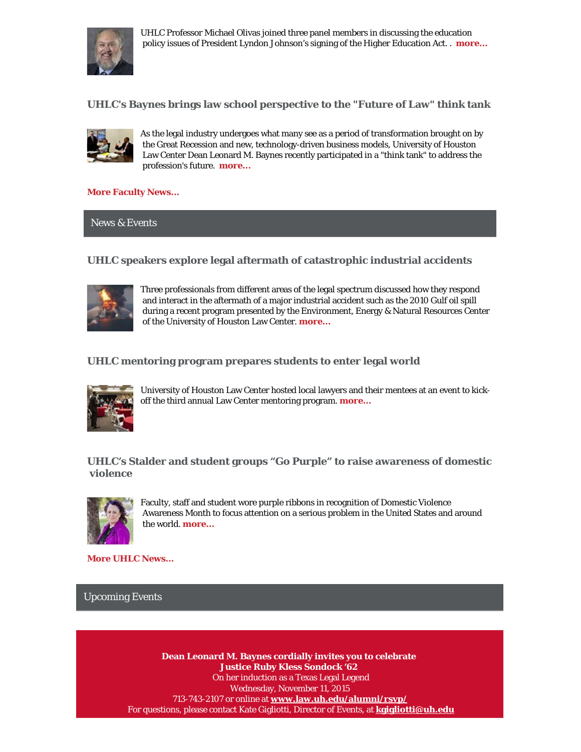

UHLC Professor Michael Olivas joined three panel members in discussing the education policy issues of President Lyndon Johnson's signing of the Higher Education Act. . **[more...](http://www.txstate.edu/news/news_releases/news_archive/2015/October-2015/HEA102915.html)**

**UHLC's Baynes brings law school perspective to the "Future of Law" think tank**



As the legal industry undergoes what many see as a period of transformation brought on by the Great Recession and new, technology-driven business models, University of Houston Law Center Dean Leonard M. Baynes recently participated in a "think tank" to address the profession's future. **[more...](http://www.law.uh.edu/news/fall2015/1020future.asp)**

**[More Faculty News...](http://www.law.uh.edu/news/uhlc-in-the-news.asp)**

News & Events

# **UHLC speakers explore legal aftermath of catastrophic industrial accidents**



Three professionals from different areas of the legal spectrum discussed how they respond and interact in the aftermath of a major industrial accident such as the 2010 Gulf oil spill during a recent program presented by the Environment, Energy & Natural Resources Center of the University of Houston Law Center. **[more…](http://www.law.uh.edu/news/fall2015/1028EENR.asp)**

**UHLC mentoring program prepares students to enter legal world**



University of Houston Law Center hosted local lawyers and their mentees at an event to kickoff the third annual Law Center mentoring program. **[more…](http://www.law.uh.edu/news/fall2015/1021Mentoring.asp)**

**UHLC's Stalder and student groups "Go Purple" to raise awareness of domestic violence**



Faculty, staff and student wore purple ribbons in recognition of Domestic Violence Awareness Month to focus attention on a serious problem in the United States and around the world. **[more…](http://www.law.uh.edu/news/fall2015/1022GoPurple.asp)**

**[More UHLC News...](http://www.law.uh.edu/news/homepage.asp)**

Upcoming Events

**Dean Leonard M. Baynes cordially invites you to celebrate Justice Ruby Kless Sondock '62**  On her induction as a Texas Legal Legend Wednesday, November 11, 2015 713-743-2107 or online at **[www.law.uh.edu/alumni/rsvp/](http://www.law.uh.edu/alumni/rsvp/)** For questions, please contact Kate Gigliotti, Director of Events, at **[kgigliotti@uh.edu](mailto:kgigliotti@uh.edu)**